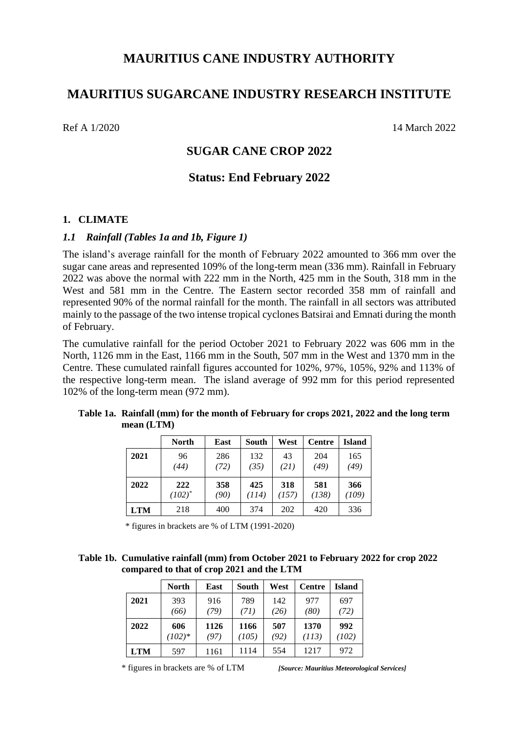# **MAURITIUS CANE INDUSTRY AUTHORITY**

# **MAURITIUS SUGARCANE INDUSTRY RESEARCH INSTITUTE**

Ref A 1/2020 14 March 2022

# **SUGAR CANE CROP 2022**

## **Status: End February 2022**

#### **1. CLIMATE**

#### *1.1 Rainfall (Tables 1a and 1b, Figure 1)*

The island's average rainfall for the month of February 2022 amounted to 366 mm over the sugar cane areas and represented 109% of the long-term mean (336 mm). Rainfall in February 2022 was above the normal with 222 mm in the North, 425 mm in the South, 318 mm in the West and 581 mm in the Centre. The Eastern sector recorded 358 mm of rainfall and represented 90% of the normal rainfall for the month. The rainfall in all sectors was attributed mainly to the passage of the two intense tropical cyclones Batsirai and Emnati during the month of February.

The cumulative rainfall for the period October 2021 to February 2022 was 606 mm in the North, 1126 mm in the East, 1166 mm in the South, 507 mm in the West and 1370 mm in the Centre. These cumulated rainfall figures accounted for 102%, 97%, 105%, 92% and 113% of the respective long-term mean. The island average of 992 mm for this period represented 102% of the long-term mean (972 mm).

|            | North       | East | South | West  | <b>Centre</b> | Island |
|------------|-------------|------|-------|-------|---------------|--------|
| 2021       | 96          | 286  | 132   | 43    | 204           | 165    |
|            | (44)        | (72) | (35)  | (21)  | (49)          | (49)   |
| 2022       | 222         | 358  | 425   | 318   | 581           | 366    |
|            | $(102)^{*}$ | (90) | (114) | (157) | (138)         | (109)  |
| <b>LTM</b> | 218         | 400  | 374   | 202   | 420           | 336    |

| Table 1a. Rainfall (mm) for the month of February for crops 2021, 2022 and the long term |
|------------------------------------------------------------------------------------------|
| mean (LTM)                                                                               |

\* figures in brackets are % of LTM (1991-2020)

#### **Table 1b. Cumulative rainfall (mm) from October 2021 to February 2022 for crop 2022 compared to that of crop 2021 and the LTM**

|            | <b>North</b> | East | South | West | <b>Centre</b> | <b>Island</b> |
|------------|--------------|------|-------|------|---------------|---------------|
| 2021       | 393          | 916  | 789   | 142  | 977           | 697           |
|            | (66)         | (79) | (71)  | (26) | (80)          | (72)          |
| 2022       | 606          | 1126 | 1166  | 507  | 1370          | 992           |
|            | $(102)*$     | (97) | (105) | (92) | (113)         | (102)         |
| <b>LTM</b> | 597          | 1161 | 1114  | 554  | 1217          | 972           |

\* figures in brackets are % of LTM *[Source: Mauritius Meteorological Services]*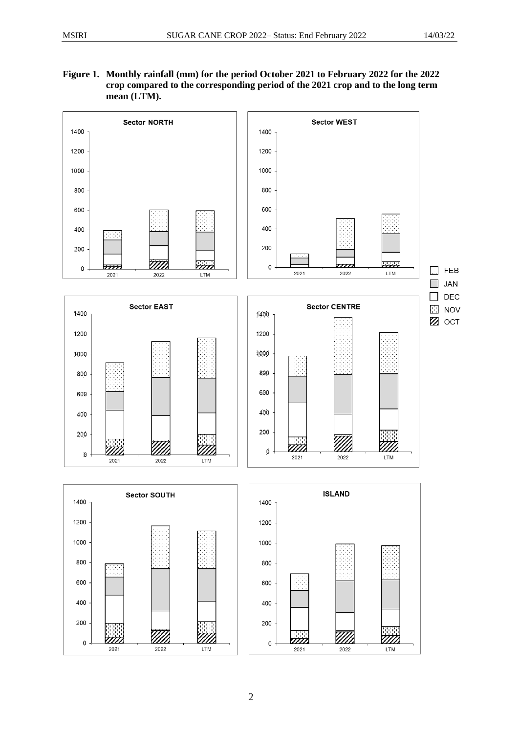#### **Figure 1. Monthly rainfall (mm) for the period October 2021 to February 2022 for the 2022 crop compared to the corresponding period of the 2021 crop and to the long term mean (LTM).**

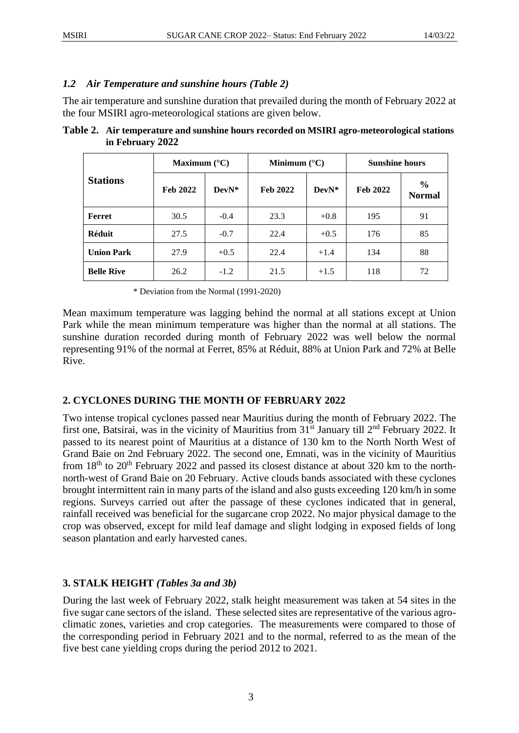## *1.2 Air Temperature and sunshine hours (Table 2)*

The air temperature and sunshine duration that prevailed during the month of February 2022 at the four MSIRI agro-meteorological stations are given below.

|                   | Maximum $(^{\circ}C)$ |         | Minimum $(^{\circ}C)$ |        | <b>Sunshine hours</b> |                                |
|-------------------|-----------------------|---------|-----------------------|--------|-----------------------|--------------------------------|
| <b>Stations</b>   | <b>Feb 2022</b>       | $DevN*$ | <b>Feb 2022</b>       | DevN*  | <b>Feb 2022</b>       | $\frac{6}{6}$<br><b>Normal</b> |
| Ferret            | 30.5                  | $-0.4$  | 23.3                  | $+0.8$ | 195                   | 91                             |
| <b>Réduit</b>     | 27.5                  | $-0.7$  | 22.4                  | $+0.5$ | 176                   | 85                             |
| <b>Union Park</b> | 27.9                  | $+0.5$  | 22.4                  | $+1.4$ | 134                   | 88                             |
| <b>Belle Rive</b> | 26.2                  | $-1.2$  | 21.5                  | $+1.5$ | 118                   | 72                             |

**Table 2. Air temperature and sunshine hours recorded on MSIRI agro-meteorological stations in February 2022**

\* Deviation from the Normal (1991-2020)

Mean maximum temperature was lagging behind the normal at all stations except at Union Park while the mean minimum temperature was higher than the normal at all stations. The sunshine duration recorded during month of February 2022 was well below the normal representing 91% of the normal at Ferret, 85% at Réduit, 88% at Union Park and 72% at Belle Rive.

## **2. CYCLONES DURING THE MONTH OF FEBRUARY 2022**

Two intense tropical cyclones passed near Mauritius during the month of February 2022. The first one, Batsirai, was in the vicinity of Mauritius from 31<sup>st</sup> January till 2<sup>nd</sup> February 2022. It passed to its nearest point of Mauritius at a distance of 130 km to the North North West of Grand Baie on 2nd February 2022. The second one, Emnati, was in the vicinity of Mauritius from  $18<sup>th</sup>$  to  $20<sup>th</sup>$  February 2022 and passed its closest distance at about 320 km to the northnorth-west of Grand Baie on 20 February. Active clouds bands associated with these cyclones brought intermittent rain in many parts of the island and also gusts exceeding 120 km/h in some regions. Surveys carried out after the passage of these cyclones indicated that in general, rainfall received was beneficial for the sugarcane crop 2022. No major physical damage to the crop was observed, except for mild leaf damage and slight lodging in exposed fields of long season plantation and early harvested canes.

## **3. STALK HEIGHT** *(Tables 3a and 3b)*

During the last week of February 2022, stalk height measurement was taken at 54 sites in the five sugar cane sectors of the island. These selected sites are representative of the various agroclimatic zones, varieties and crop categories. The measurements were compared to those of the corresponding period in February 2021 and to the normal, referred to as the mean of the five best cane yielding crops during the period 2012 to 2021.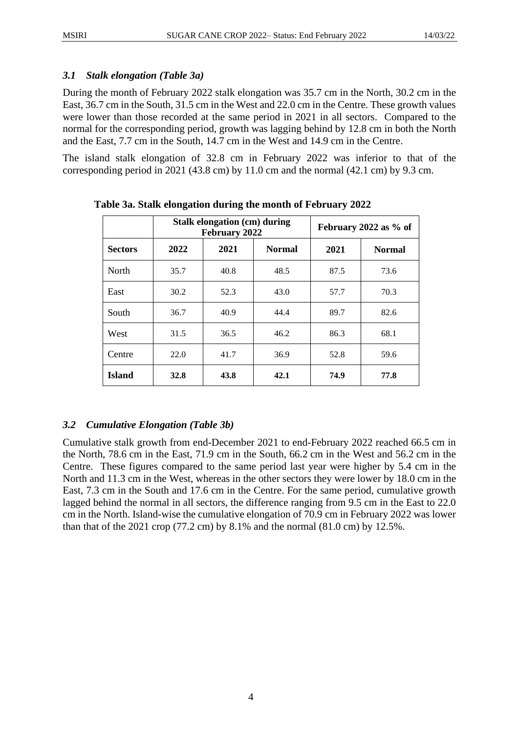### *3.1 Stalk elongation (Table 3a)*

During the month of February 2022 stalk elongation was 35.7 cm in the North, 30.2 cm in the East, 36.7 cm in the South, 31.5 cm in the West and 22.0 cm in the Centre. These growth values were lower than those recorded at the same period in 2021 in all sectors. Compared to the normal for the corresponding period, growth was lagging behind by 12.8 cm in both the North and the East, 7.7 cm in the South, 14.7 cm in the West and 14.9 cm in the Centre.

The island stalk elongation of 32.8 cm in February 2022 was inferior to that of the corresponding period in 2021 (43.8 cm) by 11.0 cm and the normal (42.1 cm) by 9.3 cm.

|                |      | <b>Stalk elongation (cm) during</b><br>February 2022 | February 2022 as % of |      |               |
|----------------|------|------------------------------------------------------|-----------------------|------|---------------|
| <b>Sectors</b> | 2022 | 2021                                                 | <b>Normal</b>         | 2021 | <b>Normal</b> |
| <b>North</b>   | 35.7 | 40.8                                                 | 48.5                  | 87.5 | 73.6          |
| East           | 30.2 | 52.3                                                 | 43.0                  | 57.7 | 70.3          |
| South          | 36.7 | 40.9                                                 | 44.4                  | 89.7 | 82.6          |
| West           | 31.5 | 36.5                                                 | 46.2                  | 86.3 | 68.1          |
| Centre         | 22.0 | 41.7                                                 | 36.9                  | 52.8 | 59.6          |
| <b>Island</b>  | 32.8 | 43.8                                                 | 42.1                  | 74.9 | 77.8          |

**Table 3a. Stalk elongation during the month of February 2022**

## *3.2 Cumulative Elongation (Table 3b)*

Cumulative stalk growth from end-December 2021 to end-February 2022 reached 66.5 cm in the North, 78.6 cm in the East, 71.9 cm in the South, 66.2 cm in the West and 56.2 cm in the Centre. These figures compared to the same period last year were higher by 5.4 cm in the North and 11.3 cm in the West, whereas in the other sectors they were lower by 18.0 cm in the East, 7.3 cm in the South and 17.6 cm in the Centre. For the same period, cumulative growth lagged behind the normal in all sectors, the difference ranging from 9.5 cm in the East to 22.0 cm in the North. Island-wise the cumulative elongation of 70.9 cm in February 2022 was lower than that of the 2021 crop (77.2 cm) by 8.1% and the normal (81.0 cm) by 12.5%.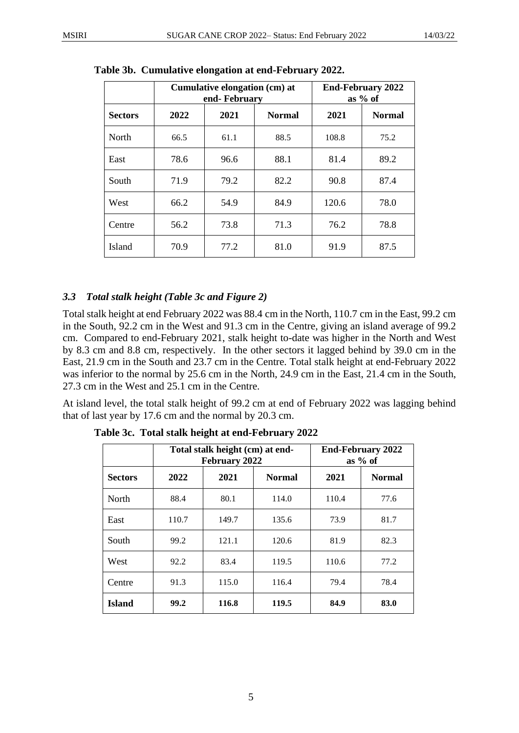|                |      | Cumulative elongation (cm) at<br>end-February | <b>End-February 2022</b><br>as $%$ of |       |               |
|----------------|------|-----------------------------------------------|---------------------------------------|-------|---------------|
| <b>Sectors</b> | 2022 | 2021                                          | <b>Normal</b>                         | 2021  | <b>Normal</b> |
| North          | 66.5 | 61.1                                          | 88.5                                  | 108.8 | 75.2          |
| East           | 78.6 | 96.6                                          | 88.1                                  | 81.4  | 89.2          |
| South          | 71.9 | 79.2                                          | 82.2                                  | 90.8  | 87.4          |
| West           | 66.2 | 54.9                                          | 84.9                                  | 120.6 | 78.0          |
| Centre         | 56.2 | 73.8                                          | 71.3                                  | 76.2  | 78.8          |
| <b>Island</b>  | 70.9 | 77.2                                          | 81.0                                  | 91.9  | 87.5          |

**Table 3b. Cumulative elongation at end-February 2022.**

## *3.3 Total stalk height (Table 3c and Figure 2)*

Total stalk height at end February 2022 was 88.4 cm in the North, 110.7 cm in the East, 99.2 cm in the South, 92.2 cm in the West and 91.3 cm in the Centre, giving an island average of 99.2 cm. Compared to end-February 2021, stalk height to-date was higher in the North and West by 8.3 cm and 8.8 cm, respectively. In the other sectors it lagged behind by 39.0 cm in the East, 21.9 cm in the South and 23.7 cm in the Centre. Total stalk height at end-February 2022 was inferior to the normal by 25.6 cm in the North, 24.9 cm in the East, 21.4 cm in the South, 27.3 cm in the West and 25.1 cm in the Centre.

At island level, the total stalk height of 99.2 cm at end of February 2022 was lagging behind that of last year by 17.6 cm and the normal by 20.3 cm.

|                |       | Total stalk height (cm) at end-<br>February 2022 |               | <b>End-February 2022</b><br>as $%$ of |               |  |
|----------------|-------|--------------------------------------------------|---------------|---------------------------------------|---------------|--|
| <b>Sectors</b> | 2022  | 2021                                             | <b>Normal</b> | 2021                                  | <b>Normal</b> |  |
| North          | 88.4  | 80.1                                             | 114.0         | 110.4                                 | 77.6          |  |
| East           | 110.7 | 149.7                                            | 135.6         | 73.9                                  | 81.7          |  |
| South          | 99.2  | 121.1                                            | 120.6         | 81.9                                  | 82.3          |  |
| West           | 92.2  | 83.4                                             | 119.5         | 110.6                                 | 77.2          |  |
| Centre         | 91.3  | 115.0                                            | 116.4         | 79.4                                  | 78.4          |  |
| <b>Island</b>  | 99.2  | 116.8                                            | 119.5         | 84.9                                  | 83.0          |  |

**Table 3c. Total stalk height at end-February 2022**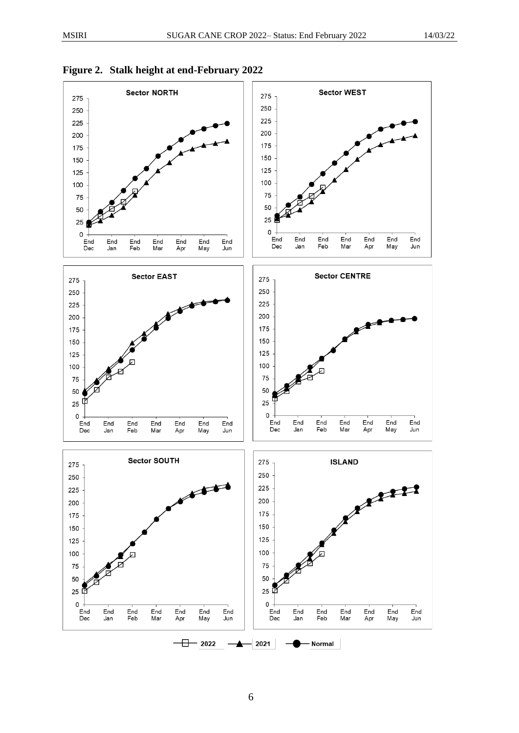